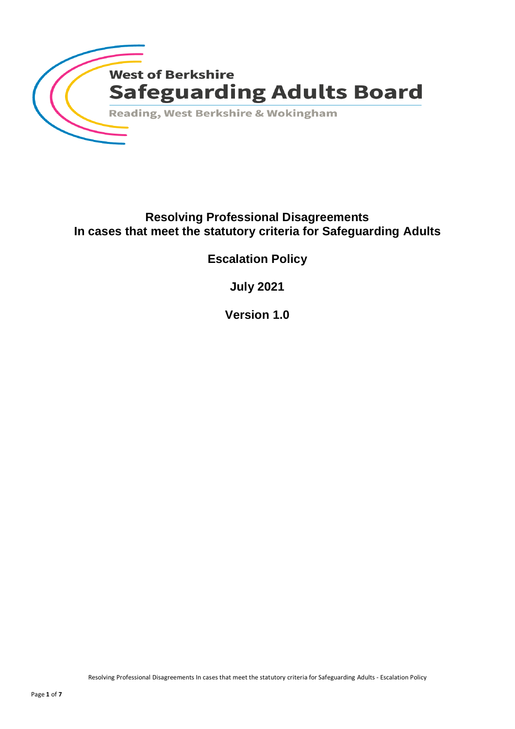

# **Resolving Professional Disagreements In cases that meet the statutory criteria for Safeguarding Adults**

**Escalation Policy**

**July 2021**

**Version 1.0**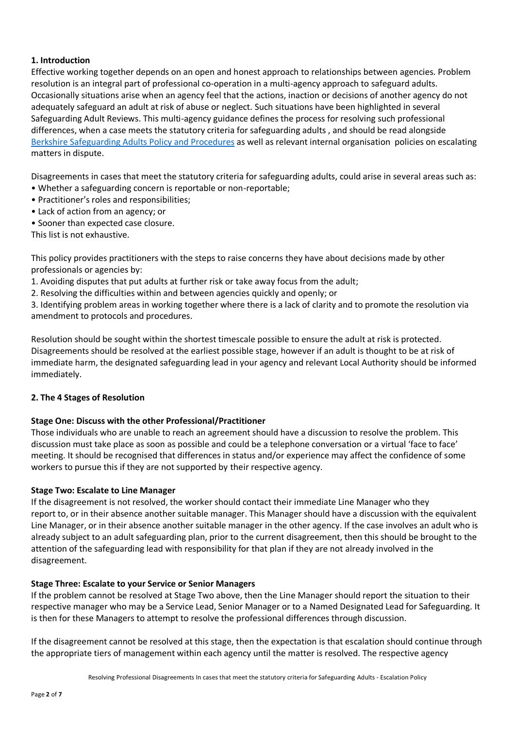# **1. Introduction**

Effective working together depends on an open and honest approach to relationships between agencies. Problem resolution is an integral part of professional co-operation in a multi-agency approach to safeguard adults. Occasionally situations arise when an agency feel that the actions, inaction or decisions of another agency do not adequately safeguard an adult at risk of abuse or neglect. Such situations have been highlighted in several Safeguarding Adult Reviews. This multi-agency guidance defines the process for resolving such professional differences, when a case meets the statutory criteria for safeguarding adults , and should be read alongside Berkshire [Safeguarding Adults Policy and Procedures](https://www.berkshiresafeguardingadults.co.uk/) as well as relevant internal organisation policies on escalating matters in dispute.

Disagreements in cases that meet the statutory criteria for safeguarding adults, could arise in several areas such as:

- Whether a safeguarding concern is reportable or non-reportable;
- Practitioner's roles and responsibilities;
- Lack of action from an agency; or
- Sooner than expected case closure.

This list is not exhaustive.

This policy provides practitioners with the steps to raise concerns they have about decisions made by other professionals or agencies by:

1. Avoiding disputes that put adults at further risk or take away focus from the adult;

2. Resolving the difficulties within and between agencies quickly and openly; or

3. Identifying problem areas in working together where there is a lack of clarity and to promote the resolution via amendment to protocols and procedures.

Resolution should be sought within the shortest timescale possible to ensure the adult at risk is protected. Disagreements should be resolved at the earliest possible stage, however if an adult is thought to be at risk of immediate harm, the designated safeguarding lead in your agency and relevant Local Authority should be informed immediately.

# **2. The 4 Stages of Resolution**

# **Stage One: Discuss with the other Professional/Practitioner**

Those individuals who are unable to reach an agreement should have a discussion to resolve the problem. This discussion must take place as soon as possible and could be a telephone conversation or a virtual 'face to face' meeting. It should be recognised that differences in status and/or experience may affect the confidence of some workers to pursue this if they are not supported by their respective agency.

# **Stage Two: Escalate to Line Manager**

If the disagreement is not resolved, the worker should contact their immediate Line Manager who they report to, or in their absence another suitable manager. This Manager should have a discussion with the equivalent Line Manager, or in their absence another suitable manager in the other agency. If the case involves an adult who is already subject to an adult safeguarding plan, prior to the current disagreement, then this should be brought to the attention of the safeguarding lead with responsibility for that plan if they are not already involved in the disagreement.

# **Stage Three: Escalate to your Service or Senior Managers**

If the problem cannot be resolved at Stage Two above, then the Line Manager should report the situation to their respective manager who may be a Service Lead, Senior Manager or to a Named Designated Lead for Safeguarding. It is then for these Managers to attempt to resolve the professional differences through discussion.

If the disagreement cannot be resolved at this stage, then the expectation is that escalation should continue through the appropriate tiers of management within each agency until the matter is resolved. The respective agency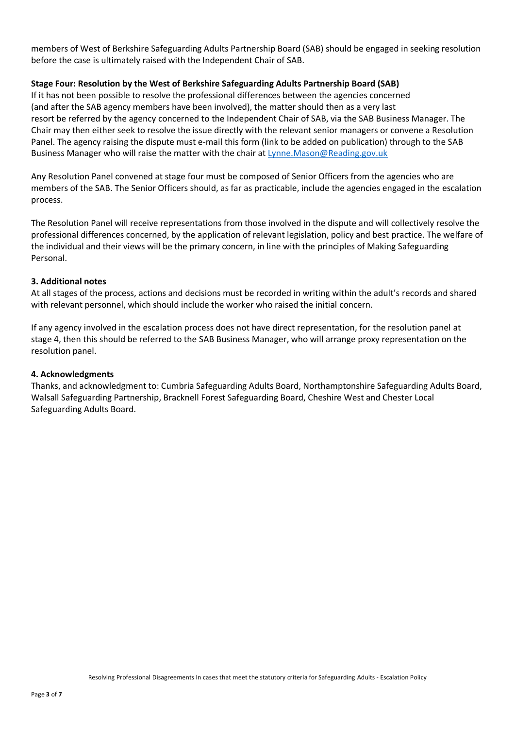members of West of Berkshire Safeguarding Adults Partnership Board (SAB) should be engaged in seeking resolution before the case is ultimately raised with the Independent Chair of SAB.

### **Stage Four: Resolution by the West of Berkshire Safeguarding Adults Partnership Board (SAB)**

If it has not been possible to resolve the professional differences between the agencies concerned (and after the SAB agency members have been involved), the matter should then as a very last resort be referred by the agency concerned to the Independent Chair of SAB, via the SAB Business Manager. The Chair may then either seek to resolve the issue directly with the relevant senior managers or convene a Resolution Panel. The agency raising the dispute must e-mail this form (link to be added on publication) through to the SAB Business Manager who will raise the matter with the chair at [Lynne.Mason@Reading.gov.uk](mailto:Lynne.Mason@Reading.gov.uk)

Any Resolution Panel convened at stage four must be composed of Senior Officers from the agencies who are members of the SAB. The Senior Officers should, as far as practicable, include the agencies engaged in the escalation process.

The Resolution Panel will receive representations from those involved in the dispute and will collectively resolve the professional differences concerned, by the application of relevant legislation, policy and best practice. The welfare of the individual and their views will be the primary concern, in line with the principles of Making Safeguarding Personal.

#### **3. Additional notes**

At all stages of the process, actions and decisions must be recorded in writing within the adult's records and shared with relevant personnel, which should include the worker who raised the initial concern.

If any agency involved in the escalation process does not have direct representation, for the resolution panel at stage 4, then this should be referred to the SAB Business Manager, who will arrange proxy representation on the resolution panel.

#### **4. Acknowledgments**

Thanks, and acknowledgment to: Cumbria Safeguarding Adults Board, Northamptonshire Safeguarding Adults Board, Walsall Safeguarding Partnership, Bracknell Forest Safeguarding Board, Cheshire West and Chester Local Safeguarding Adults Board.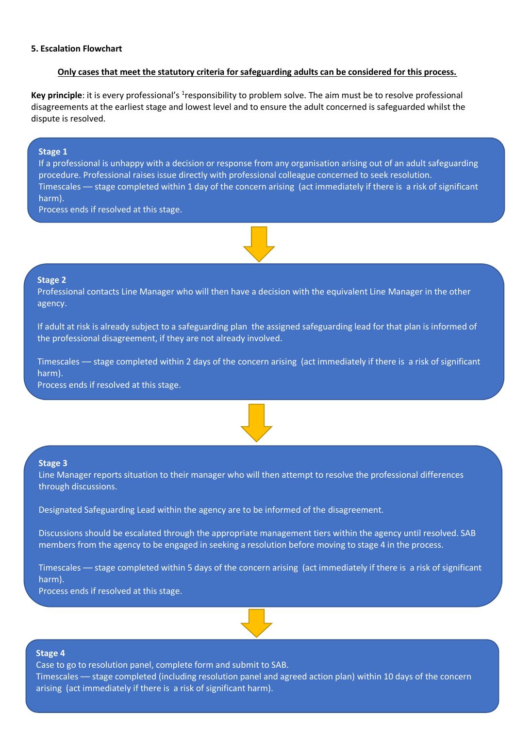#### **Only cases that meet the statutory criteria for safeguarding adults can be considered for this process.**

Key principle: it is every professional's <sup>1</sup>responsibility to problem solve. The aim must be to resolve professional disagreements at the earliest stage and lowest level and to ensure the adult concerned is safeguarded whilst the dispute is resolved.

#### **Stage 1**

If a professional is unhappy with a decision or response from any organisation arising out of an adult safeguarding procedure. Professional raises issue directly with professional colleague concerned to seek resolution. Timescales –– stage completed within 1 day of the concern arising (act immediately if there is a risk of significant harm).

Process ends if resolved at this stage.



#### **Stage 2**

Professional contacts Line Manager who will then have a decision with the equivalent Line Manager in the other agency.

If adult at risk is already subject to a safeguarding plan the assigned safeguarding lead for that plan is informed of the professional disagreement, if they are not already involved.

Timescales –– stage completed within 2 days of the concern arising (act immediately if there is a risk of significant harm).

Process ends if resolved at this stage.



#### **Stage 3**

Line Manager reports situation to their manager who will then attempt to resolve the professional differences through discussions.

Designated Safeguarding Lead within the agency are to be informed of the disagreement.

Discussions should be escalated through the appropriate management tiers within the agency until resolved. SAB members from the agency to be engaged in seeking a resolution before moving to stage 4 in the process.

Timescales –– stage completed within 5 days of the concern arising (act immediately if there is a risk of significant harm).

Process ends if resolved at this stage.



#### **Stage 4**

Timescales — stage completed (including resolution panel and agreed action plan) within 10 days of the concern arising (act immediately if there is a risk of significant harm). Case to go to resolution panel, complete form and submit to SAB.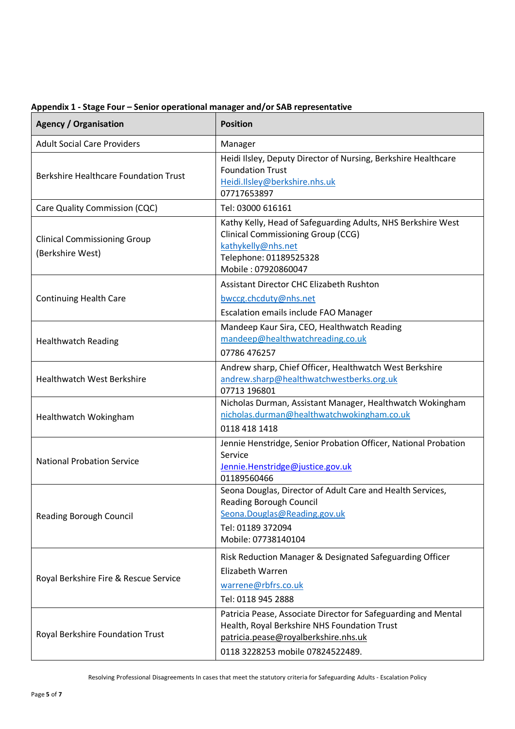| <b>Agency / Organisation</b>                            | <b>Position</b>                                                                                                                                                                            |
|---------------------------------------------------------|--------------------------------------------------------------------------------------------------------------------------------------------------------------------------------------------|
| <b>Adult Social Care Providers</b>                      | Manager                                                                                                                                                                                    |
| <b>Berkshire Healthcare Foundation Trust</b>            | Heidi Ilsley, Deputy Director of Nursing, Berkshire Healthcare<br><b>Foundation Trust</b><br>Heidi.Ilsley@berkshire.nhs.uk<br>07717653897                                                  |
| Care Quality Commission (CQC)                           | Tel: 03000 616161                                                                                                                                                                          |
| <b>Clinical Commissioning Group</b><br>(Berkshire West) | Kathy Kelly, Head of Safeguarding Adults, NHS Berkshire West<br><b>Clinical Commissioning Group (CCG)</b><br>kathykelly@nhs.net<br>Telephone: 01189525328<br>Mobile: 07920860047           |
|                                                         | <b>Assistant Director CHC Elizabeth Rushton</b>                                                                                                                                            |
| <b>Continuing Health Care</b>                           | bwccg.chcduty@nhs.net                                                                                                                                                                      |
|                                                         | Escalation emails include FAO Manager                                                                                                                                                      |
| <b>Healthwatch Reading</b>                              | Mandeep Kaur Sira, CEO, Healthwatch Reading<br>mandeep@healthwatchreading.co.uk                                                                                                            |
|                                                         | 07786 476257                                                                                                                                                                               |
| <b>Healthwatch West Berkshire</b>                       | Andrew sharp, Chief Officer, Healthwatch West Berkshire<br>andrew.sharp@healthwatchwestberks.org.uk<br>07713 196801                                                                        |
| Healthwatch Wokingham                                   | Nicholas Durman, Assistant Manager, Healthwatch Wokingham<br>nicholas.durman@healthwatchwokingham.co.uk<br>0118 418 1418                                                                   |
| <b>National Probation Service</b>                       | Jennie Henstridge, Senior Probation Officer, National Probation<br>Service<br>Jennie.Henstridge@justice.gov.uk<br>01189560466                                                              |
| <b>Reading Borough Council</b>                          | Seona Douglas, Director of Adult Care and Health Services,<br><b>Reading Borough Council</b><br>Seona.Douglas@Reading.gov.uk<br>Tel: 01189 372094<br>Mobile: 07738140104                   |
| Royal Berkshire Fire & Rescue Service                   | Risk Reduction Manager & Designated Safeguarding Officer<br>Elizabeth Warren<br>warrene@rbfrs.co.uk<br>Tel: 0118 945 2888                                                                  |
| Royal Berkshire Foundation Trust                        | Patricia Pease, Associate Director for Safeguarding and Mental<br>Health, Royal Berkshire NHS Foundation Trust<br>patricia.pease@royalberkshire.nhs.uk<br>0118 3228253 mobile 07824522489. |

## **Appendix 1 - Stage Four – Senior operational manager and/or SAB representative**

Resolving Professional Disagreements In cases that meet the statutory criteria for Safeguarding Adults - Escalation Policy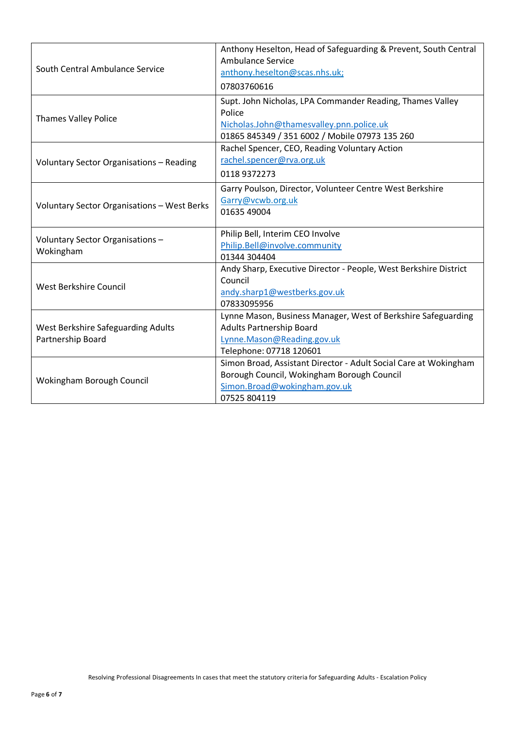| South Central Ambulance Service                         | Anthony Heselton, Head of Safeguarding & Prevent, South Central<br>Ambulance Service<br>anthony.heselton@scas.nhs.uk;<br>07803760616                              |
|---------------------------------------------------------|-------------------------------------------------------------------------------------------------------------------------------------------------------------------|
| <b>Thames Valley Police</b>                             | Supt. John Nicholas, LPA Commander Reading, Thames Valley<br>Police<br>Nicholas.John@thamesvalley.pnn.police.uk<br>01865 845349 / 351 6002 / Mobile 07973 135 260 |
| Voluntary Sector Organisations - Reading                | Rachel Spencer, CEO, Reading Voluntary Action<br>rachel.spencer@rva.org.uk<br>01189372273                                                                         |
| Voluntary Sector Organisations - West Berks             | Garry Poulson, Director, Volunteer Centre West Berkshire<br>Garry@vcwb.org.uk<br>01635 49004                                                                      |
| Voluntary Sector Organisations-<br>Wokingham            | Philip Bell, Interim CEO Involve<br>Philip.Bell@involve.community<br>01344 304404                                                                                 |
| <b>West Berkshire Council</b>                           | Andy Sharp, Executive Director - People, West Berkshire District<br>Council<br>andy.sharp1@westberks.gov.uk<br>07833095956                                        |
| West Berkshire Safeguarding Adults<br>Partnership Board | Lynne Mason, Business Manager, West of Berkshire Safeguarding<br><b>Adults Partnership Board</b><br>Lynne.Mason@Reading.gov.uk<br>Telephone: 07718 120601         |
| Wokingham Borough Council                               | Simon Broad, Assistant Director - Adult Social Care at Wokingham<br>Borough Council, Wokingham Borough Council<br>Simon.Broad@wokingham.gov.uk<br>07525 804119    |